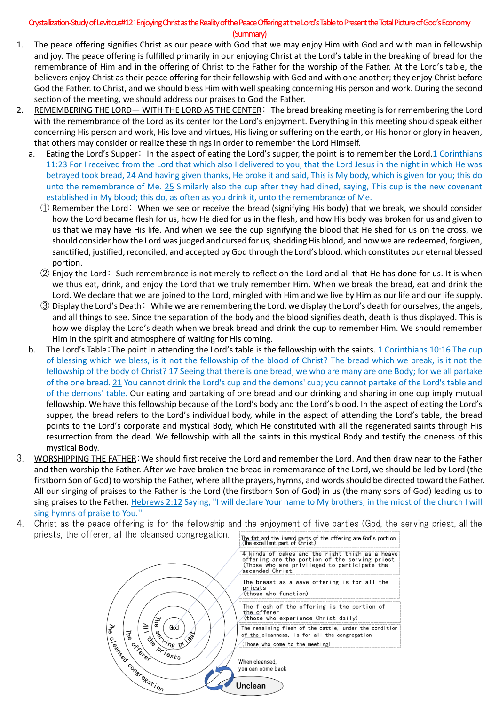## Crystallization-Study of Leviticus#12: Enjoying Christ as the Reality of the Peace Offering at the Lord's Table to Present the Total Picture of God's Economy

(Summary)

- 1. The peace offering signifies Christ as our peace with God that we may enjoy Him with God and with man in fellowship and joy. The peace offering is fulfilled primarily in our enjoying Christ at the Lord's table in the breaking of bread for the remembrance of Him and in the offering of Christ to the Father for the worship of the Father. At the Lord's table, the believers enjoy Christ as their peace offering for their fellowship with God and with one another; they enjoy Christ before God the Father. to Christ, and we should bless Him with well speaking concerning His person and work. During the second section of the meeting, we should address our praises to God the Father.
- 2. REMEMBERING THE LORD— WITH THE LORD AS THE CENTER: The bread breaking meeting is for remembering the Lord with the remembrance of the Lord as its center for the Lord's enjoyment. Everything in this meeting should speak either concerning His person and work, His love and virtues, His living or suffering on the earth, or His honor or glory in heaven, that others may consider or realize these things in order to remember the Lord Himself.
	- a. Eating the Lord's Supper: In the aspect of eating the Lord's supper, the point is to remember the Lord.1 Corinthians 11:23 For I received from the Lord that which also I delivered to you, that the Lord Jesus in the night in which He was betrayed took bread, 24 And having given thanks, He broke it and said, This is My body, which is given for you; this do unto the remembrance of Me. 25 Similarly also the cup after they had dined, saying, This cup is the new covenant established in My blood; this do, as often as you drink it, unto the remembrance of Me.
		- ① Remember the Lord: When we see or receive the bread (signifying His body) that we break, we should consider how the Lord became flesh for us, how He died for us in the flesh, and how His body was broken for us and given to us that we may have His life. And when we see the cup signifying the blood that He shed for us on the cross, we should consider how the Lord was judged and cursed for us, shedding His blood, and how we are redeemed, forgiven, sanctified, justified, reconciled, and accepted by God through the Lord's blood, which constitutes our eternal blessed portion.
		- ② Enjoy the Lord: Such remembrance is not merely to reflect on the Lord and all that He has done for us. It is when we thus eat, drink, and enjoy the Lord that we truly remember Him. When we break the bread, eat and drink the Lord. We declare that we are joined to the Lord, mingled with Him and we live by Him as our life and our life supply.
		- ③ Display the Lord's Death: While we are remembering the Lord, we display the Lord's death for ourselves, the angels, and all things to see. Since the separation of the body and the blood signifies death, death is thus displayed. This is how we display the Lord's death when we break bread and drink the cup to remember Him. We should remember Him in the spirit and atmosphere of waiting for His coming.
	- b. The Lord's Table:The point in attending the Lord's table is the fellowship with the saints. 1 Corinthians 10:16 The cup of blessing which we bless, is it not the fellowship of the blood of Christ? The bread which we break, is it not the fellowship of the body of Christ? 17 Seeing that there is one bread, we who are many are one Body; for we all partake of the one bread. 21 You cannot drink the Lord's cup and the demons' cup; you cannot partake of the Lord's table and of the demons' table. Our eating and partaking of one bread and our drinking and sharing in one cup imply mutual fellowship. We have this fellowship because of the Lord's body and the Lord's blood. In the aspect of eating the Lord's supper, the bread refers to the Lord's individual body, while in the aspect of attending the Lord's table, the bread points to the Lord's corporate and mystical Body, which He constituted with all the regenerated saints through His resurrection from the dead. We fellowship with all the saints in this mystical Body and testify the oneness of this mystical Body.
- 3. WORSHIPPING THE FATHER:We should first receive the Lord and remember the Lord. And then draw near to the Father and then worship the Father. After we have broken the bread in remembrance of the Lord, we should be led by Lord (the firstborn Son of God) to worship the Father, where all the prayers, hymns, and words should be directed toward the Father. All our singing of praises to the Father is the Lord (the firstborn Son of God) in us (the many sons of God) leading us to sing praises to the Father. Hebrews 2:12 Saying, "I will declare Your name to My brothers; in the midst of the church I will sing hymns of praise to You.''
- 4. Christ as the peace offering is for the fellowship and the enjoyment of five parties (God, the serving priest, all the priests, the offerer, all the cleansed congregation.The fat and the inward parts of the offering are God's portion<br>(The excellent part of Onrist)

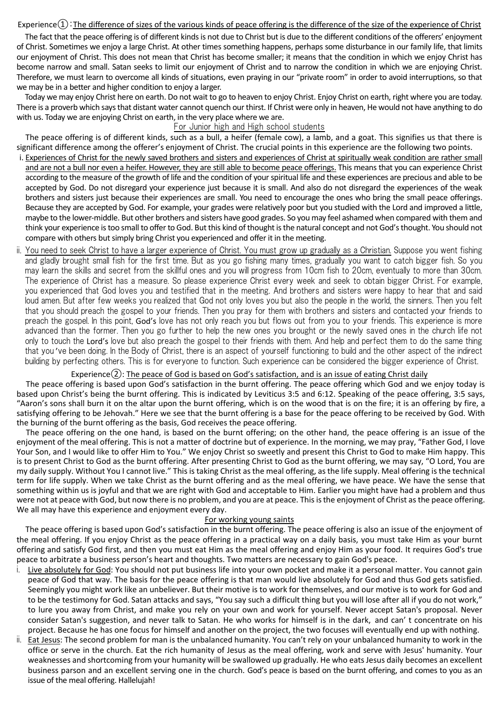#### Experience $(1)$ : The difference of sizes of the various kinds of peace offering is the difference of the size of the experience of Christ

The fact that the peace offering is of different kinds is not due to Christ but is due to the different conditions of the offerers' enjoyment of Christ. Sometimes we enjoy a large Christ. At other times something happens, perhaps some disturbance in our family life, that limits our enjoyment of Christ. This does not mean that Christ has become smaller; it means that the condition in which we enjoy Christ has become narrow and small. Satan seeks to limit our enjoyment of Christ and to narrow the condition in which we are enjoying Christ. Therefore, we must learn to overcome all kinds of situations, even praying in our "private room" in order to avoid interruptions, so that we may be in a better and higher condition to enjoy a larger.

Today we may enjoy Christ here on earth. Do not wait to go to heaven to enjoy Christ. Enjoy Christ on earth, right where you are today. There is a proverb which says that distant water cannot quench our thirst. If Christ were only in heaven, He would not have anything to do with us. Today we are enjoying Christ on earth, in the very place where we are.

#### For Junior high and High school students

The peace offering is of different kinds, such as a bull, a heifer (female cow), a lamb, and a goat. This signifies us that there is significant difference among the offerer's enjoyment of Christ. The crucial points in this experience are the following two points.

- i. Experiences of Christ for the newly saved brothers and sisters and experiences of Christ at spiritually weak condition are rather small and are not a bull nor even a heifer. However, they are still able to become peace offerings. This means that you can experience Christ according to the measure of the growth of life and the condition of your spiritual life and these experiences are precious and able to be accepted by God. Do not disregard your experience just because it is small. And also do not disregard the experiences of the weak brothers and sisters just because their experiences are small. You need to encourage the ones who bring the small peace offerings. Because they are accepted by God. For example, your grades were relatively poor but you studied with the Lord and improved a little, maybe to the lower-middle. But other brothers and sisters have good grades. So you may feel ashamed when compared with them and think your experience is too small to offer to God. But this kind of thought is the natural concept and not God's thought. You should not compare with others but simply bring Christ you experienced and offer it in the meeting.
- ii. You need to seek Christ to have a larger experience of Christ. You must grow up gradually as a Christian. Suppose you went fishing and gladly brought small fish for the first time. But as you go fishing many times, gradually you want to catch bigger fish. So you may learn the skills and secret from the skillful ones and you will progress from 10cm fish to 20cm, eventually to more than 30cm. The experience of Christ has a measure. So please experience Christ every week and seek to obtain bigger Christ. For example, you experienced that God loves you and testified that in the meeting. And brothers and sisters were happy to hear that and said loud amen. But after few weeks you realized that God not only loves you but also the people in the world, the sinners. Then you felt that you should preach the gospel to your friends. Then you pray for them with brothers and sisters and contacted your friends to preach the gospel. In this point, God's love has not only reach you but flows out from you to your friends. This experience is more advanced than the former. Then you go further to help the new ones you brought or the newly saved ones in the church life not only to touch the Lord's love but also preach the gospel to their friends with them. And help and perfect them to do the same thing that you 've been doing. In the Body of Christ, there is an aspect of yourself functioning to build and the other aspect of the indirect building by perfecting others. This is for everyone to function. Such experience can be considered the bigger experience of Christ.

### Experience $(2)$ : The peace of God is based on God's satisfaction, and is an issue of eating Christ daily

The peace offering is based upon God's satisfaction in the burnt offering. The peace offering which God and we enjoy today is based upon Christ's being the burnt offering. This is indicated by Leviticus 3:5 and 6:12. Speaking of the peace offering, 3:5 says, "Aaron's sons shall burn it on the altar upon the burnt offering, which is on the wood that is on the fire; it is an offering by fire, a satisfying offering to be Jehovah." Here we see that the burnt offering is a base for the peace offering to be received by God. With the burning of the burnt offering as the basis, God receives the peace offering.

The peace offering on the one hand, is based on the burnt offering; on the other hand, the peace offering is an issue of the enjoyment of the meal offering. This is not a matter of doctrine but of experience. In the morning, we may pray, "Father God, I love Your Son, and I would like to offer Him to You." We enjoy Christ so sweetly and present this Christ to God to make Him happy. This is to present Christ to God as the burnt offering. After presenting Christ to God as the burnt offering, we may say, "O Lord, You are my daily supply. Without You I cannot live." This is taking Christ as the meal offering, as the life supply. Meal offering is the technical term for life supply. When we take Christ as the burnt offering and as the meal offering, we have peace. We have the sense that something within us is joyful and that we are right with God and acceptable to Him. Earlier you might have had a problem and thus were not at peace with God, but now there is no problem, and you are at peace. This is the enjoyment of Christ as the peace offering. We all may have this experience and enjoyment every day.

#### For working young saints

The peace offering is based upon God's satisfaction in the burnt offering. The peace offering is also an issue of the enjoyment of the meal offering. If you enjoy Christ as the peace offering in a practical way on a daily basis, you must take Him as your burnt offering and satisfy God first, and then you must eat Him as the meal offering and enjoy Him as your food. It requires God's true peace to arbitrate a business person's heart and thoughts. Two matters are necessary to gain God's peace.

- i. Live absolutely for God: You should not put business life into your own pocket and make it a personal matter. You cannot gain peace of God that way. The basis for the peace offering is that man would live absolutely for God and thus God gets satisfied. Seemingly you might work like an unbeliever. But their motive is to work for themselves, and our motive is to work for God and to be the testimony for God. Satan attacks and says, "You say such a difficult thing but you will lose after all if you do not work," to lure you away from Christ, and make you rely on your own and work for yourself. Never accept Satan's proposal. Never consider Satan's suggestion, and never talk to Satan. He who works for himself is in the dark, and can' t concentrate on his project. Because he has one focus for himself and another on the project, the two focuses will eventually end up with nothing.
- ii. Eat Jesus: The second problem for man is the unbalanced humanity. You can't rely on your unbalanced humanity to work in the office or serve in the church. Eat the rich humanity of Jesus as the meal offering, work and serve with Jesus' humanity. Your weaknesses and shortcoming from your humanity will be swallowed up gradually. He who eats Jesus daily becomes an excellent business parson and an excellent serving one in the church. God's peace is based on the burnt offering, and comes to you as an issue of the meal offering. Hallelujah!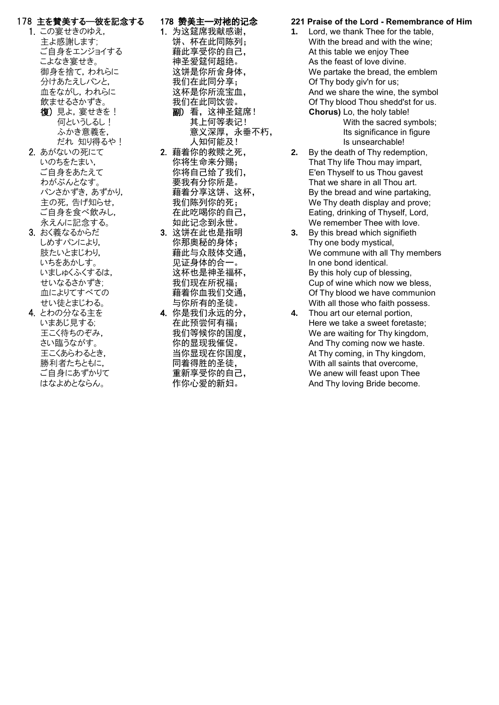## 178 主を賛美する―彼を記念する

- 1. この宴せきのゆえ, 主よ感謝します; ご自身をエンジョイする こよなき宴せき。 御身を捨て,われらに 分けあたえしパンと, 血をながし,われらに 飲ませるさかずき。 復) 見よ, 宴せきを!
	- 何というしるし! ふかき意義を, だれ 知り得るや!
- 2. あがないの死にて いのちをたまい, ご自身をあたえて わがぶんとなす。 パンさかずき,あずかり, 主の死,告げ知らせ, ご自身を食べ飲みし, 永えんに記念する。
- 3. おく義なるからだ しめすパンにより, 肢たいとまじわり, いちをあかしす。 いましゅくふくするは, せいなるさかずき; 血によりてすべての せい徒とまじわる。
- 4. とわの分なる主を いまあじ見する; 王こく待ちのぞみ, さい臨うながす。 王こくあらわるとき, 勝利者たちともに, ご自身にあずかりて はなよめとならん。

## 178 赞美主─对祂的记念

- 1. 为这筵席我献感谢, 饼、杯在此同陈列; 藉此享受你的自己, 神圣爱筵何超绝。 这饼是你所舍身体, 我们在此同分享; 这杯是你所流宝血, 我们在此同饮尝。 副) 看,这神圣筵席! 其上何等表记! 意义深厚,永垂不朽, 人知何能及!
- 2. 藉着你的救赎之死, 你将生命来分赐; 你将自己给了我们, 要我有分你所是。 藉着分享这饼、这杯, 我们陈列你的死; 在此吃喝你的自己, 如此记念到永世。
- 3. 这饼在此也是指明 你那奥秘的身体; 藉此与众肢体交通, 见证身体的合一。 这杯也是神圣福杯, 我们现在所祝福; 藉着你血我们交通, 与你所有的圣徒。
- 4. 你是我们永远的分, 在此预尝何有福; 我们等候你的国度, 你的显现我催促。 当你显现在你国度, 同着得胜的圣徒, 重新享受你的自己, 作你心爱的新妇。

### **221 Praise of the Lord - Remembrance of Him**

**1.** Lord, we thank Thee for the table, With the bread and with the wine; At this table we enjoy Thee As the feast of love divine. We partake the bread, the emblem Of Thy body giv'n for us; And we share the wine, the symbol Of Thy blood Thou shedd'st for us. **Chorus)** Lo, the holy table!

With the sacred symbols; Its significance in figure Is unsearchable!

- **2.** By the death of Thy redemption, That Thy life Thou may impart, E'en Thyself to us Thou gavest That we share in all Thou art. By the bread and wine partaking, We Thy death display and prove: Eating, drinking of Thyself, Lord, We remember Thee with love.
- **3.** By this bread which signifieth Thy one body mystical, We commune with all Thy members In one bond identical. By this holy cup of blessing, Cup of wine which now we bless, Of Thy blood we have communion With all those who faith possess.
- **4.** Thou art our eternal portion, Here we take a sweet foretaste; We are waiting for Thy kingdom, And Thy coming now we haste. At Thy coming, in Thy kingdom, With all saints that overcome, We anew will feast upon Thee And Thy loving Bride become.